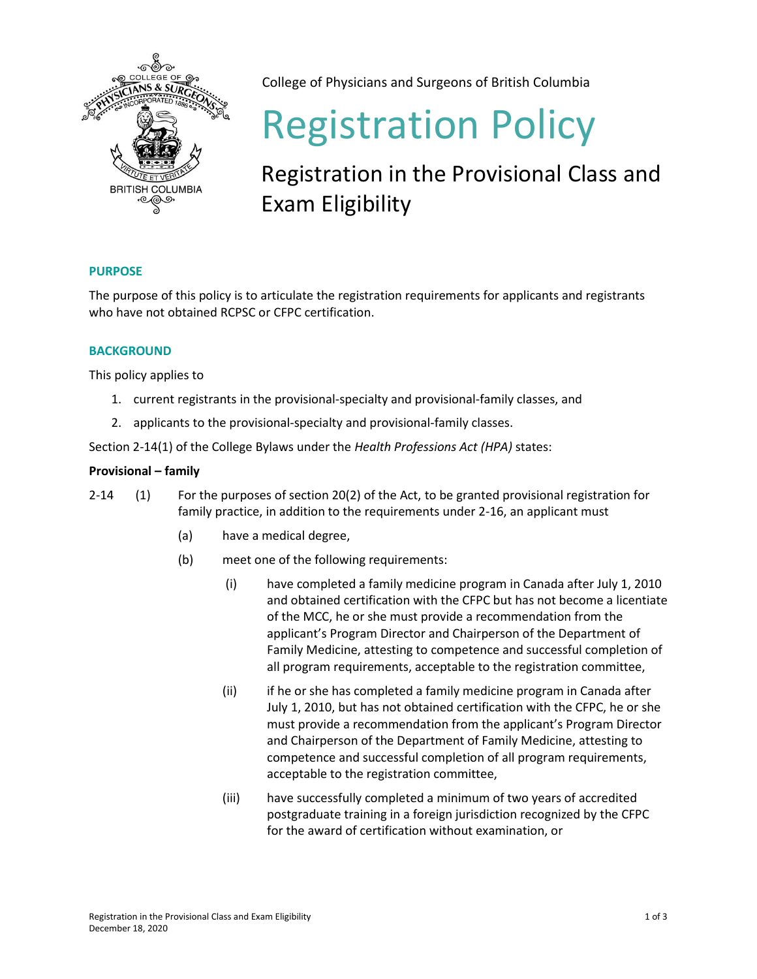

College of Physicians and Surgeons of British Columbia

# Registration Policy

# Registration in the Provisional Class and Exam Eligibility

# **PURPOSE**

The purpose of this policy is to articulate the registration requirements for applicants and registrants who have not obtained RCPSC or CFPC certification.

## **BACKGROUND**

This policy applies to

- 1. current registrants in the provisional-specialty and provisional-family classes, and
- 2. applicants to the provisional-specialty and provisional-family classes.

Section 2-14(1) of the College Bylaws under the *Health Professions Act (HPA)* states:

### **Provisional – family**

- 2-14 (1) For the purposes of section 20(2) of the Act, to be granted provisional registration for family practice, in addition to the requirements under 2-16, an applicant must
	- (a) have a medical degree,
	- (b) meet one of the following requirements:
		- (i) have completed a family medicine program in Canada after July 1, 2010 and obtained certification with the CFPC but has not become a licentiate of the MCC, he or she must provide a recommendation from the applicant's Program Director and Chairperson of the Department of Family Medicine, attesting to competence and successful completion of all program requirements, acceptable to the registration committee,
		- (ii) if he or she has completed a family medicine program in Canada after July 1, 2010, but has not obtained certification with the CFPC, he or she must provide a recommendation from the applicant's Program Director and Chairperson of the Department of Family Medicine, attesting to competence and successful completion of all program requirements, acceptable to the registration committee,
		- (iii) have successfully completed a minimum of two years of accredited postgraduate training in a foreign jurisdiction recognized by the CFPC for the award of certification without examination, or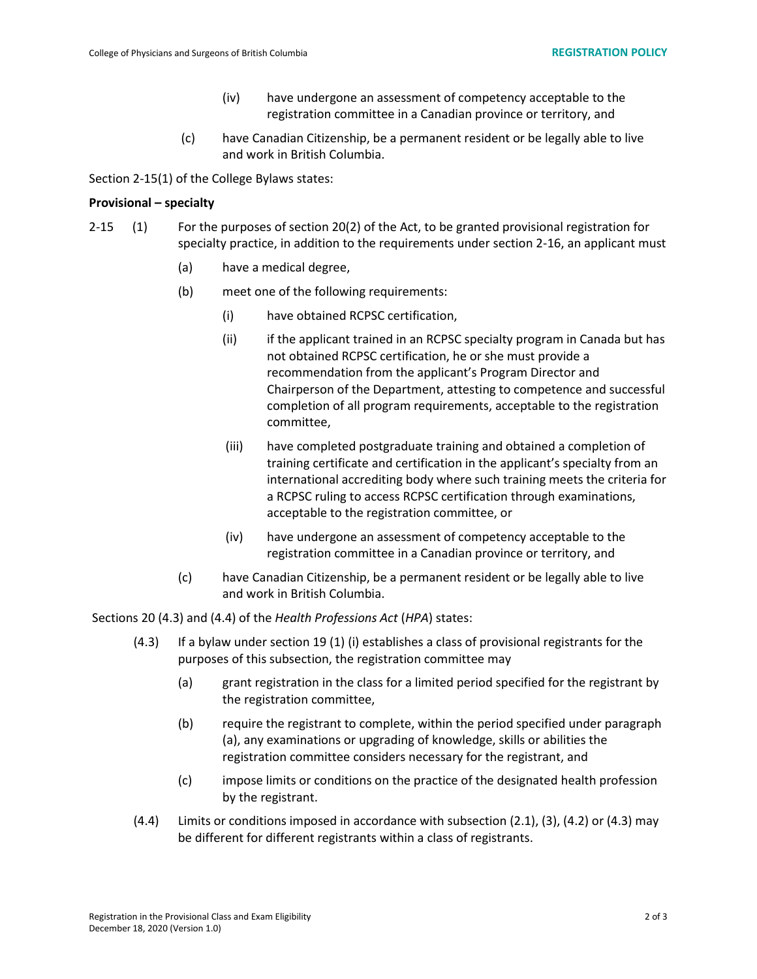- (iv) have undergone an assessment of competency acceptable to the registration committee in a Canadian province or territory, and
- (c) have Canadian Citizenship, be a permanent resident or be legally able to live and work in British Columbia.

Section 2-15(1) of the College Bylaws states:

#### **Provisional – specialty**

- 2-15 (1) For the purposes of section 20(2) of the Act, to be granted provisional registration for specialty practice, in addition to the requirements under section 2-16, an applicant must
	- (a) have a medical degree,
	- (b) meet one of the following requirements:
		- (i) have obtained RCPSC certification,
		- (ii) if the applicant trained in an RCPSC specialty program in Canada but has not obtained RCPSC certification, he or she must provide a recommendation from the applicant's Program Director and Chairperson of the Department, attesting to competence and successful completion of all program requirements, acceptable to the registration committee,
		- (iii) have completed postgraduate training and obtained a completion of training certificate and certification in the applicant's specialty from an international accrediting body where such training meets the criteria for a RCPSC ruling to access RCPSC certification through examinations, acceptable to the registration committee, or
		- (iv) have undergone an assessment of competency acceptable to the registration committee in a Canadian province or territory, and
	- (c) have Canadian Citizenship, be a permanent resident or be legally able to live and work in British Columbia.

Sections 20 (4.3) and (4.4) of the *Health Professions Act* (*HPA*) states:

- (4.3) If a bylaw under section 19 (1) (i) establishes a class of provisional registrants for the purposes of this subsection, the registration committee may
	- (a) grant registration in the class for a limited period specified for the registrant by the registration committee,
	- (b) require the registrant to complete, within the period specified under paragraph (a), any examinations or upgrading of knowledge, skills or abilities the registration committee considers necessary for the registrant, and
	- (c) impose limits or conditions on the practice of the designated health profession by the registrant.
- (4.4) Limits or conditions imposed in accordance with subsection (2.1), (3), (4.2) or (4.3) may be different for different registrants within a class of registrants.